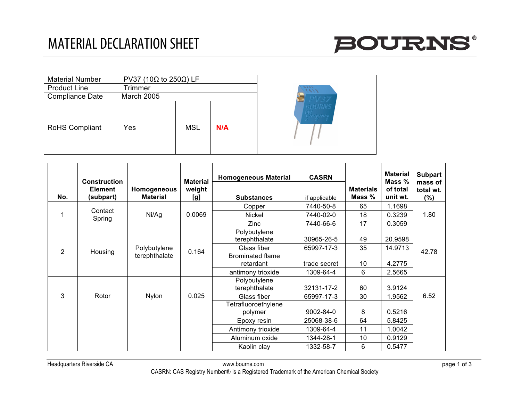

| <b>Material Number</b> | PV37 (10 $\Omega$ to 250 $\Omega$ ) LF |            |     |               |
|------------------------|----------------------------------------|------------|-----|---------------|
| <b>Product Line</b>    | Trimmer                                |            |     | 7850<br>キヘイシ  |
| <b>Compliance Date</b> | <b>March 2005</b>                      |            |     | PV37          |
| <b>RoHS Compliant</b>  | Yes                                    | <b>MSL</b> | N/A | BOURNS<br>CM. |

| No.                       | <b>Construction</b><br><b>Element</b><br>(subpart) | Homogeneous<br><b>Material</b> | <b>Material</b><br>weight<br>[g] | <b>Homogeneous Material</b><br><b>Substances</b> | <b>CASRN</b><br>if applicable | <b>Materials</b><br>Mass % | <b>Material</b><br>Mass %<br>of total<br>unit wt. | <b>Subpart</b><br>mass of<br>total wt.<br>$(\%)$ |
|---------------------------|----------------------------------------------------|--------------------------------|----------------------------------|--------------------------------------------------|-------------------------------|----------------------------|---------------------------------------------------|--------------------------------------------------|
| Contact<br>Spring         |                                                    |                                |                                  | Copper                                           | 7440-50-8                     | 65                         | 1.1698                                            |                                                  |
|                           | Ni/Ag                                              | 0.0069                         | <b>Nickel</b>                    | 7440-02-0                                        | 18                            | 0.3239                     | 1.80                                              |                                                  |
|                           |                                                    |                                | Zinc                             | 7440-66-6                                        | 17                            | 0.3059                     |                                                   |                                                  |
| $\overline{2}$<br>Housing |                                                    |                                |                                  | Polybutylene<br>terephthalate                    | 30965-26-5                    | 49                         | 20.9598                                           |                                                  |
|                           | Polybutylene                                       | 0.164                          | Glass fiber                      | 65997-17-3                                       | 35                            | 14.9713                    | 42.78                                             |                                                  |
|                           |                                                    | terephthalate                  |                                  | <b>Brominated flame</b><br>retardant             | trade secret                  | 10                         | 4.2775                                            |                                                  |
|                           |                                                    |                                |                                  | antimony trioxide                                | 1309-64-4                     | 6                          | 2.5665                                            |                                                  |
| 3<br>Rotor                |                                                    | <b>Nylon</b>                   | 0.025                            | Polybutylene<br>terephthalate                    | 32131-17-2                    | 60                         | 3.9124                                            | 6.52                                             |
|                           |                                                    |                                |                                  | Glass fiber                                      | 65997-17-3                    | 30                         | 1.9562                                            |                                                  |
|                           |                                                    |                                |                                  | Tetrafluoroethylene<br>polymer                   | 9002-84-0                     | 8                          | 0.5216                                            |                                                  |
|                           |                                                    |                                |                                  | Epoxy resin                                      | 25068-38-6                    | 64                         | 5.8425                                            |                                                  |
|                           |                                                    |                                |                                  | Antimony trioxide                                | 1309-64-4                     | 11                         | 1.0042                                            |                                                  |
|                           |                                                    |                                |                                  | Aluminum oxide                                   | 1344-28-1                     | 10                         | 0.9129                                            |                                                  |
|                           |                                                    |                                |                                  | Kaolin clay                                      | 1332-58-7                     | 6                          | 0.5477                                            |                                                  |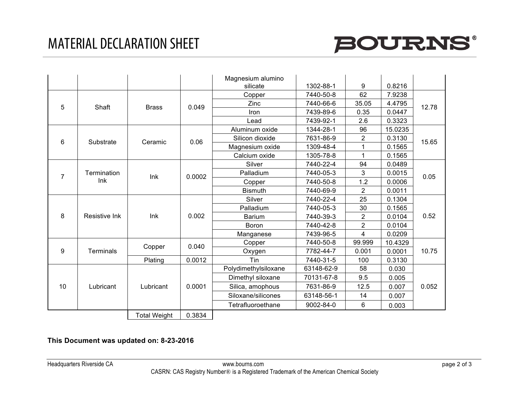## MATERIAL DECLARATION SHEET



|                                           |                      |                     |                 | Magnesium alumino<br>silicate | 1302-88-1  | 9              | 0.8216  |              |
|-------------------------------------------|----------------------|---------------------|-----------------|-------------------------------|------------|----------------|---------|--------------|
| 5<br>Shaft                                |                      |                     |                 | Copper                        | 7440-50-8  | 62             | 7.9238  |              |
|                                           |                      |                     |                 | Zinc                          | 7440-66-6  | 35.05          | 4.4795  |              |
|                                           | <b>Brass</b>         | 0.049               | Iron            | 7439-89-6                     | 0.35       | 0.0447         | 12.78   |              |
|                                           |                      |                     |                 | Lead                          | 7439-92-1  | 2.6            | 0.3323  |              |
| 6                                         |                      | Ceramic             | 0.06            | Aluminum oxide                | 1344-28-1  | 96             | 15.0235 | 15.65        |
|                                           | Substrate            |                     |                 | Silicon dioxide               | 7631-86-9  | $\overline{c}$ | 0.3130  |              |
|                                           |                      |                     |                 | Magnesium oxide               | 1309-48-4  |                | 0.1565  |              |
|                                           |                      |                     |                 | Calcium oxide                 | 1305-78-8  | 1              | 0.1565  |              |
| Termination<br>$\overline{7}$<br>Ink<br>8 |                      | Ink<br>Ink          | 0.0002<br>0.002 | Silver                        | 7440-22-4  | 94             | 0.0489  | 0.05<br>0.52 |
|                                           |                      |                     |                 | Palladium                     | 7440-05-3  | 3              | 0.0015  |              |
|                                           |                      |                     |                 | Copper                        | 7440-50-8  | 1.2            | 0.0006  |              |
|                                           |                      |                     |                 | <b>Bismuth</b>                | 7440-69-9  | $\overline{2}$ | 0.0011  |              |
|                                           |                      |                     |                 | Silver                        | 7440-22-4  | 25             | 0.1304  |              |
|                                           |                      |                     |                 | Palladium                     | 7440-05-3  | 30             | 0.1565  |              |
|                                           | <b>Resistive Ink</b> |                     |                 | <b>Barium</b>                 | 7440-39-3  | 2              | 0.0104  |              |
|                                           |                      |                     |                 | Boron                         | 7440-42-8  | $\overline{c}$ | 0.0104  |              |
|                                           |                      |                     |                 | Manganese                     | 7439-96-5  | 4              | 0.0209  |              |
| 9                                         |                      | Copper<br>Plating   | 0.040           | Copper                        | 7440-50-8  | 99.999         | 10.4329 | 10.75        |
|                                           | <b>Terminals</b>     |                     |                 | Oxygen                        | 7782-44-7  | 0.001          | 0.0001  |              |
|                                           |                      |                     | 0.0012          | Tin                           | 7440-31-5  | 100            | 0.3130  |              |
| 10                                        |                      |                     |                 | Polydimethylsiloxane          | 63148-62-9 | 58             | 0.030   | 0.052        |
|                                           |                      |                     |                 | Dimethyl siloxane             | 70131-67-8 | 9.5            | 0.005   |              |
|                                           | Lubricant            | Lubricant           | 0.0001          | Silica, amophous              | 7631-86-9  | 12.5           | 0.007   |              |
|                                           |                      |                     |                 | Siloxane/silicones            | 63148-56-1 | 14             | 0.007   |              |
|                                           |                      |                     |                 | Tetrafluoroethane             | 9002-84-0  | 6              | 0.003   |              |
|                                           |                      | <b>Total Weight</b> | 0.3834          |                               |            |                |         |              |

## **This Document was updated on: 8-23-2016**